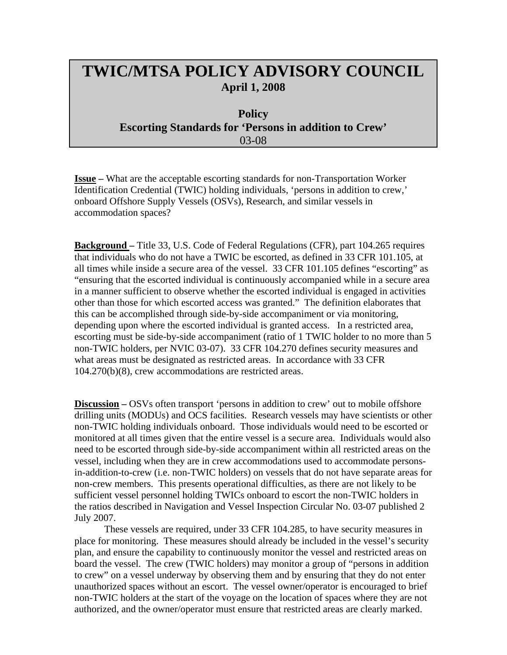## **TWIC/MTSA POLICY ADVISORY COUNCIL April 1, 2008**

## **Policy Escorting Standards for 'Persons in addition to Crew'** 03-08

**Issue –** What are the acceptable escorting standards for non-Transportation Worker Identification Credential (TWIC) holding individuals, 'persons in addition to crew,' onboard Offshore Supply Vessels (OSVs), Research, and similar vessels in accommodation spaces?

**Background –** Title 33, U.S. Code of Federal Regulations (CFR), part 104.265 requires that individuals who do not have a TWIC be escorted, as defined in 33 CFR 101.105, at all times while inside a secure area of the vessel. 33 CFR 101.105 defines "escorting" as "ensuring that the escorted individual is continuously accompanied while in a secure area in a manner sufficient to observe whether the escorted individual is engaged in activities other than those for which escorted access was granted." The definition elaborates that this can be accomplished through side-by-side accompaniment or via monitoring, depending upon where the escorted individual is granted access. In a restricted area, escorting must be side-by-side accompaniment (ratio of 1 TWIC holder to no more than 5 non-TWIC holders, per NVIC 03-07). 33 CFR 104.270 defines security measures and what areas must be designated as restricted areas. In accordance with 33 CFR 104.270(b)(8), crew accommodations are restricted areas.

**Discussion –** OSVs often transport 'persons in addition to crew' out to mobile offshore drilling units (MODUs) and OCS facilities. Research vessels may have scientists or other non-TWIC holding individuals onboard. Those individuals would need to be escorted or monitored at all times given that the entire vessel is a secure area. Individuals would also need to be escorted through side-by-side accompaniment within all restricted areas on the vessel, including when they are in crew accommodations used to accommodate personsin-addition-to-crew (i.e. non-TWIC holders) on vessels that do not have separate areas for non-crew members. This presents operational difficulties, as there are not likely to be sufficient vessel personnel holding TWICs onboard to escort the non-TWIC holders in the ratios described in Navigation and Vessel Inspection Circular No. 03-07 published 2 July 2007.

These vessels are required, under 33 CFR 104.285, to have security measures in place for monitoring. These measures should already be included in the vessel's security plan, and ensure the capability to continuously monitor the vessel and restricted areas on board the vessel. The crew (TWIC holders) may monitor a group of "persons in addition to crew" on a vessel underway by observing them and by ensuring that they do not enter unauthorized spaces without an escort. The vessel owner/operator is encouraged to brief non-TWIC holders at the start of the voyage on the location of spaces where they are not authorized, and the owner/operator must ensure that restricted areas are clearly marked.